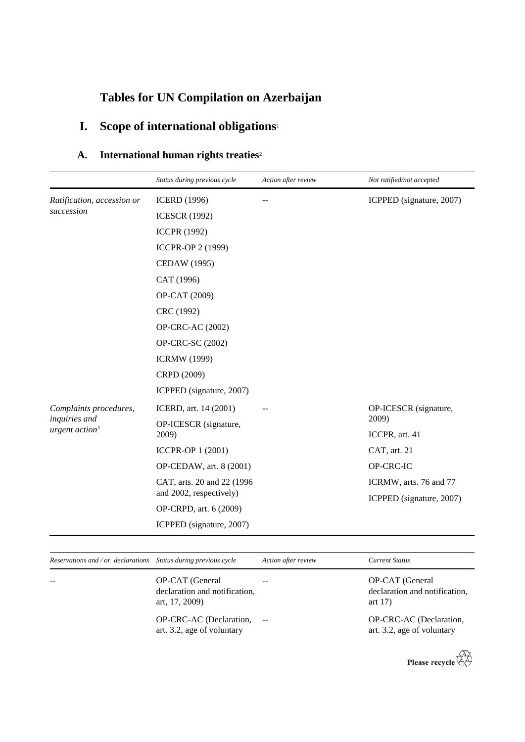# **Tables for UN Compilation on Azerbaijan**

# **I. Scope of international obligations**<sup>1</sup>

## **A. International human rights treaties**<sup>2</sup>

|                                             | Status during previous cycle | Action after review | Not ratified/not accepted |
|---------------------------------------------|------------------------------|---------------------|---------------------------|
| Ratification, accession or                  | <b>ICERD</b> (1996)          |                     | ICPPED (signature, 2007)  |
| succession                                  | <b>ICESCR (1992)</b>         |                     |                           |
|                                             | <b>ICCPR (1992)</b>          |                     |                           |
|                                             | ICCPR-OP 2 (1999)            |                     |                           |
|                                             | <b>CEDAW</b> (1995)          |                     |                           |
|                                             | CAT (1996)                   |                     |                           |
|                                             | OP-CAT (2009)                |                     |                           |
|                                             | CRC (1992)                   |                     |                           |
|                                             | OP-CRC-AC (2002)             |                     |                           |
|                                             | OP-CRC-SC (2002)             |                     |                           |
|                                             | <b>ICRMW</b> (1999)          |                     |                           |
|                                             | CRPD (2009)                  |                     |                           |
|                                             | ICPPED (signature, 2007)     |                     |                           |
| Complaints procedures,                      | ICERD, art. 14 (2001)        |                     | OP-ICESCR (signature,     |
| inquiries and<br>urgent action <sup>3</sup> | OP-ICESCR (signature,        |                     | 2009)                     |
|                                             | 2009)                        |                     | ICCPR, art. 41            |
|                                             | ICCPR-OP 1 (2001)            |                     | CAT, art. 21              |
|                                             | OP-CEDAW, art. 8 (2001)      |                     | OP-CRC-IC                 |
|                                             | CAT, arts. 20 and 22 (1996)  |                     | ICRMW, arts. 76 and 77    |
|                                             | and 2002, respectively)      |                     | ICPPED (signature, 2007)  |
|                                             | OP-CRPD, art. 6 (2009)       |                     |                           |
|                                             | ICPPED (signature, 2007)     |                     |                           |

| Reservations and / or declarations Status during previous cycle |                                                                    | Action after review | Current Status                                                |
|-----------------------------------------------------------------|--------------------------------------------------------------------|---------------------|---------------------------------------------------------------|
| $-$                                                             | OP-CAT (General<br>declaration and notification,<br>art, 17, 2009) |                     | OP-CAT (General<br>declaration and notification,<br>art $17)$ |
|                                                                 | OP-CRC-AC (Declaration,<br>art. 3.2, age of voluntary              |                     | OP-CRC-AC (Declaration,<br>art. 3.2, age of voluntary         |

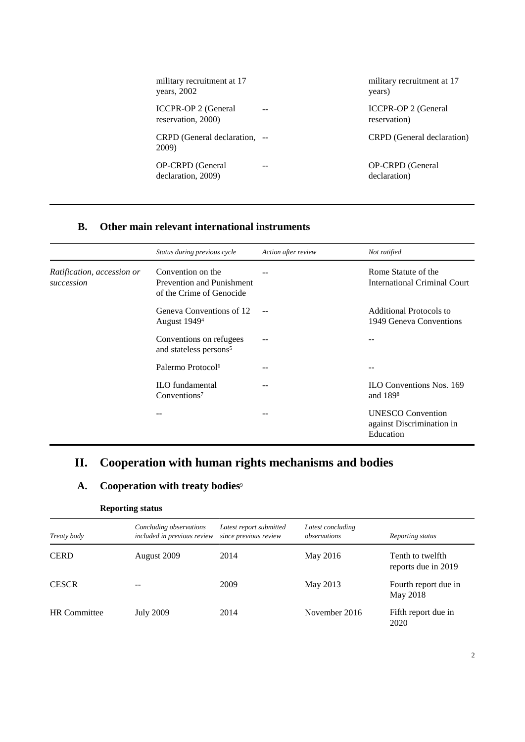| military recruitment at 17             | military recruitment at 17        |
|----------------------------------------|-----------------------------------|
| years, $2002$                          | years)                            |
| <b>ICCPR-OP 2 (General</b>             | <b>ICCPR-OP 2 (General</b>        |
| reservation, 2000)                     | reservation)                      |
| CRPD (General declaration, --<br>2009) | <b>CRPD</b> (General declaration) |
| OP-CRPD (General                       | OP-CRPD (General                  |
| declaration, 2009)                     | declaration)                      |

#### **B. Other main relevant international instruments**

|                                          | Status during previous cycle                                               | Action after review | Not ratified                                                       |
|------------------------------------------|----------------------------------------------------------------------------|---------------------|--------------------------------------------------------------------|
| Ratification, accession or<br>succession | Convention on the<br>Prevention and Punishment<br>of the Crime of Genocide |                     | Rome Statute of the<br><b>International Criminal Court</b>         |
|                                          | Geneva Conventions of 12<br>August 1949 <sup>4</sup>                       |                     | Additional Protocols to<br>1949 Geneva Conventions                 |
|                                          | Conventions on refugees<br>and stateless persons <sup>5</sup>              |                     |                                                                    |
|                                          | Palermo Protocol <sup>6</sup>                                              |                     |                                                                    |
|                                          | <b>ILO</b> fundamental<br>Conventions <sup>7</sup>                         |                     | <b>ILO Conventions Nos. 169</b><br>and $1898$                      |
|                                          |                                                                            |                     | <b>UNESCO</b> Convention<br>against Discrimination in<br>Education |

# **II. Cooperation with human rights mechanisms and bodies**

### A. Cooperation with treaty bodies<sup>9</sup>

#### **Reporting status**

| Treaty body         | Concluding observations<br>included in previous review | Latest report submitted<br>since previous review | Latest concluding<br>observations | Reporting status                        |
|---------------------|--------------------------------------------------------|--------------------------------------------------|-----------------------------------|-----------------------------------------|
| <b>CERD</b>         | August 2009                                            | 2014                                             | May 2016                          | Tenth to twelfth<br>reports due in 2019 |
| <b>CESCR</b>        |                                                        | 2009                                             | May 2013                          | Fourth report due in<br>May 2018        |
| <b>HR</b> Committee | <b>July 2009</b>                                       | 2014                                             | November 2016                     | Fifth report due in<br>2020             |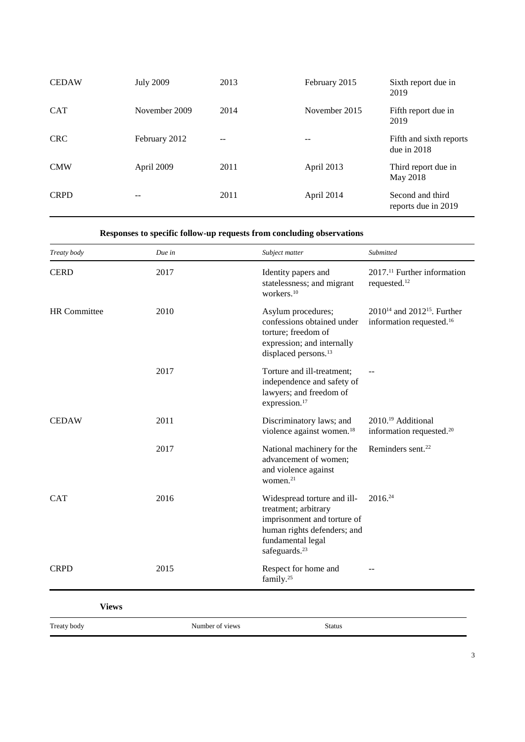| <b>CEDAW</b> | <b>July 2009</b> | 2013 | February 2015 | Sixth report due in<br>2019              |
|--------------|------------------|------|---------------|------------------------------------------|
| <b>CAT</b>   | November 2009    | 2014 | November 2015 | Fifth report due in<br>2019              |
| <b>CRC</b>   | February 2012    | $-$  |               | Fifth and sixth reports<br>due in $2018$ |
| <b>CMW</b>   | April 2009       | 2011 | April 2013    | Third report due in<br>May 2018          |
| <b>CRPD</b>  |                  | 2011 | April 2014    | Second and third<br>reports due in 2019  |

### **Responses to specific follow-up requests from concluding observations**

| Treaty body         | Due in          | Subject matter                                                                                                                                                      | Submitted                                                                                   |
|---------------------|-----------------|---------------------------------------------------------------------------------------------------------------------------------------------------------------------|---------------------------------------------------------------------------------------------|
| <b>CERD</b>         | 2017            | Identity papers and<br>statelessness; and migrant<br>workers. <sup>10</sup>                                                                                         | 2017. <sup>11</sup> Further information<br>requested. <sup>12</sup>                         |
| <b>HR</b> Committee | 2010            | Asylum procedures;<br>confessions obtained under<br>torture; freedom of<br>expression; and internally<br>displaced persons. <sup>13</sup>                           | 2010 <sup>14</sup> and 2012 <sup>15</sup> . Further<br>information requested. <sup>16</sup> |
|                     | 2017            | Torture and ill-treatment;<br>independence and safety of<br>lawyers; and freedom of<br>expression. <sup>17</sup>                                                    |                                                                                             |
| <b>CEDAW</b>        | 2011            | Discriminatory laws; and<br>violence against women. <sup>18</sup>                                                                                                   | 2010. <sup>19</sup> Additional<br>information requested. <sup>20</sup>                      |
|                     | 2017            | National machinery for the<br>advancement of women;<br>and violence against<br>women. <sup>21</sup>                                                                 | Reminders sent. <sup>22</sup>                                                               |
| <b>CAT</b>          | 2016            | Widespread torture and ill-<br>treatment; arbitrary<br>imprisonment and torture of<br>human rights defenders; and<br>fundamental legal<br>safeguards. <sup>23</sup> | 2016.24                                                                                     |
| <b>CRPD</b>         | 2015            | Respect for home and<br>family. <sup>25</sup>                                                                                                                       |                                                                                             |
| <b>Views</b>        |                 |                                                                                                                                                                     |                                                                                             |
| Treaty body         | Number of views | <b>Status</b>                                                                                                                                                       |                                                                                             |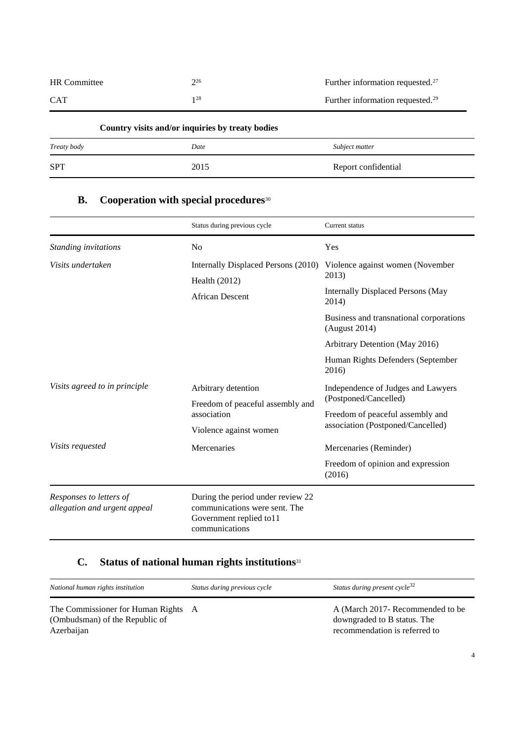| <b>HR</b> Committee | 226 | Further information requested. <sup>27</sup> |
|---------------------|-----|----------------------------------------------|
| <b>CAT</b>          | 128 | Further information requested. <sup>29</sup> |

### **Country visits and/or inquiries by treaty bodies**

| Treaty body | Date | Subject matter      |
|-------------|------|---------------------|
| <b>SPT</b>  | 2015 | Report confidential |

### **B. Cooperation with special procedures**<sup>30</sup>

|                                                         | Status during previous cycle                                                                                    | Current status                                                                                                                                             |
|---------------------------------------------------------|-----------------------------------------------------------------------------------------------------------------|------------------------------------------------------------------------------------------------------------------------------------------------------------|
| Standing invitations                                    | N <sub>0</sub>                                                                                                  | Yes                                                                                                                                                        |
| Visits undertaken                                       | Internally Displaced Persons (2010)<br>Health (2012)<br><b>African Descent</b>                                  | Violence against women (November<br>2013)<br><b>Internally Displaced Persons (May</b><br>2014)<br>Business and transnational corporations<br>(August 2014) |
|                                                         |                                                                                                                 | Arbitrary Detention (May 2016)<br>Human Rights Defenders (September<br>2016)                                                                               |
| Visits agreed to in principle                           | Arbitrary detention<br>Freedom of peaceful assembly and<br>association<br>Violence against women                | Independence of Judges and Lawyers<br>(Postponed/Cancelled)<br>Freedom of peaceful assembly and<br>association (Postponed/Cancelled)                       |
| Visits requested                                        | Mercenaries                                                                                                     | Mercenaries (Reminder)<br>Freedom of opinion and expression<br>(2016)                                                                                      |
| Responses to letters of<br>allegation and urgent appeal | During the period under review 22<br>communications were sent. The<br>Government replied to11<br>communications |                                                                                                                                                            |

### **C. Status of national human rights institutions**<sup>31</sup>

| National human rights institution                                                   | Status during previous cycle | Status during present cycle <sup>32</sup>                                                        |
|-------------------------------------------------------------------------------------|------------------------------|--------------------------------------------------------------------------------------------------|
| The Commissioner for Human Rights A<br>(Ombudsman) of the Republic of<br>Azerbaijan |                              | A (March 2017- Recommended to be<br>downgraded to B status. The<br>recommendation is referred to |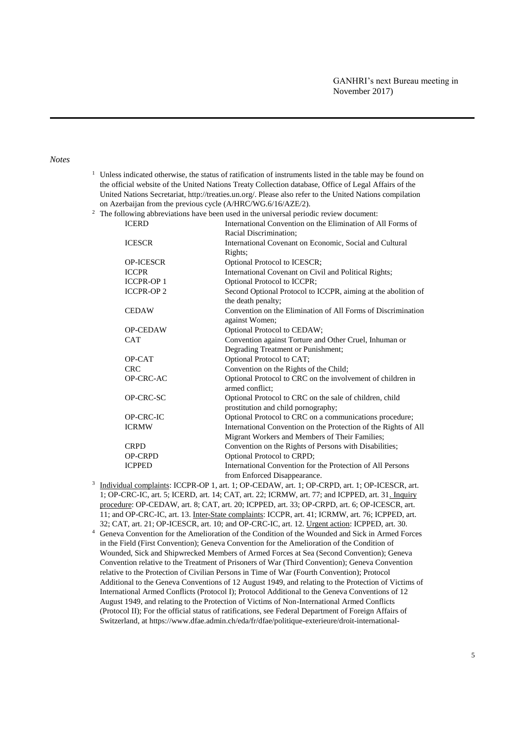#### *Notes*

 $1$  Unless indicated otherwise, the status of ratification of instruments listed in the table may be found on the official website of the United Nations Treaty Collection database, Office of Legal Affairs of the United Nations Secretariat, http://treaties.un.org/. Please also refer to the United Nations compilation on Azerbaijan from the previous cycle (A/HRC/WG.6/16/AZE/2).<br><sup>2</sup> The following abbreviations have been used in the universal period

| The following abbreviations have been used in the universal periodic review document: |                  |                                                                 |
|---------------------------------------------------------------------------------------|------------------|-----------------------------------------------------------------|
|                                                                                       | <b>ICERD</b>     | International Convention on the Elimination of All Forms of     |
|                                                                                       |                  | Racial Discrimination;                                          |
|                                                                                       | <b>ICESCR</b>    | International Covenant on Economic, Social and Cultural         |
|                                                                                       |                  | Rights;                                                         |
|                                                                                       | <b>OP-ICESCR</b> | Optional Protocol to ICESCR;                                    |
|                                                                                       | <b>ICCPR</b>     | International Covenant on Civil and Political Rights;           |
|                                                                                       | <b>ICCPR-OP1</b> | Optional Protocol to ICCPR;                                     |
|                                                                                       | <b>ICCPR-OP2</b> | Second Optional Protocol to ICCPR, aiming at the abolition of   |
|                                                                                       |                  | the death penalty;                                              |
|                                                                                       | <b>CEDAW</b>     | Convention on the Elimination of All Forms of Discrimination    |
|                                                                                       |                  | against Women;                                                  |
|                                                                                       | <b>OP-CEDAW</b>  | Optional Protocol to CEDAW;                                     |
|                                                                                       | <b>CAT</b>       | Convention against Torture and Other Cruel, Inhuman or          |
|                                                                                       |                  | Degrading Treatment or Punishment;                              |
|                                                                                       | OP-CAT           | Optional Protocol to CAT;                                       |
|                                                                                       | <b>CRC</b>       | Convention on the Rights of the Child;                          |
|                                                                                       | <b>OP-CRC-AC</b> | Optional Protocol to CRC on the involvement of children in      |
|                                                                                       |                  | armed conflict:                                                 |
|                                                                                       | OP-CRC-SC        | Optional Protocol to CRC on the sale of children, child         |
|                                                                                       |                  | prostitution and child pornography;                             |
|                                                                                       | OP-CRC-IC        | Optional Protocol to CRC on a communications procedure;         |
|                                                                                       | <b>ICRMW</b>     | International Convention on the Protection of the Rights of All |
|                                                                                       |                  | Migrant Workers and Members of Their Families;                  |
|                                                                                       | <b>CRPD</b>      | Convention on the Rights of Persons with Disabilities;          |
|                                                                                       | <b>OP-CRPD</b>   | Optional Protocol to CRPD;                                      |
|                                                                                       | <b>ICPPED</b>    | International Convention for the Protection of All Persons      |
|                                                                                       |                  | from Enforced Disappearance.                                    |

from Enforced Disappearance.<br><sup>3</sup> Individual complaints: ICCPR-OP 1, art. 1; OP-CEDAW, art. 1; OP-CRPD, art. 1; OP-ICESCR, art. 1; OP-CRC-IC, art. 5; ICERD, art. 14; CAT, art. 22; ICRMW, art. 77; and ICPPED, art. 31. Inquiry procedure: OP-CEDAW, art. 8; CAT, art. 20; ICPPED, art. 33; OP-CRPD, art. 6; OP-ICESCR, art. 11; and OP-CRC-IC, art. 13. Inter-State complaints: ICCPR, art. 41; ICRMW, art. 76; ICPPED, art. 32; CAT, art. 21; OP-ICESCR, art. 10; and OP-CRC-IC, art. 12. Urgent action: ICPPED, art. 30.

<sup>4</sup> Geneva Convention for the Amelioration of the Condition of the Wounded and Sick in Armed Forces in the Field (First Convention); Geneva Convention for the Amelioration of the Condition of Wounded, Sick and Shipwrecked Members of Armed Forces at Sea (Second Convention); Geneva Convention relative to the Treatment of Prisoners of War (Third Convention); Geneva Convention relative to the Protection of Civilian Persons in Time of War (Fourth Convention); Protocol Additional to the Geneva Conventions of 12 August 1949, and relating to the Protection of Victims of International Armed Conflicts (Protocol I); Protocol Additional to the Geneva Conventions of 12 August 1949, and relating to the Protection of Victims of Non-International Armed Conflicts (Protocol II); For the official status of ratifications, see Federal Department of Foreign Affairs of Switzerland, at https://www.dfae.admin.ch/eda/fr/dfae/politique-exterieure/droit-international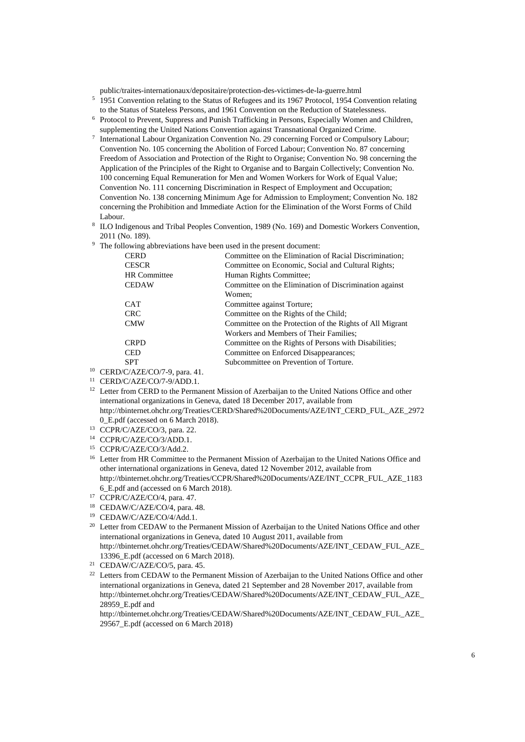public/traites-internationaux/depositaire/protection-des-victimes-de-la-guerre.html

- <sup>5</sup> 1951 Convention relating to the Status of Refugees and its 1967 Protocol, 1954 Convention relating to the Status of Stateless Persons, and 1961 Convention on the Reduction of Statelessness.
- <sup>6</sup> Protocol to Prevent, Suppress and Punish Trafficking in Persons, Especially Women and Children, supplementing the United Nations Convention against Transnational Organized Crime.
- 7 International Labour Organization Convention No. 29 concerning Forced or Compulsory Labour; Convention No. 105 concerning the Abolition of Forced Labour; Convention No. 87 concerning Freedom of Association and Protection of the Right to Organise; Convention No. 98 concerning the Application of the Principles of the Right to Organise and to Bargain Collectively; Convention No. 100 concerning Equal Remuneration for Men and Women Workers for Work of Equal Value; Convention No. 111 concerning Discrimination in Respect of Employment and Occupation; Convention No. 138 concerning Minimum Age for Admission to Employment; Convention No. 182 concerning the Prohibition and Immediate Action for the Elimination of the Worst Forms of Child Labour.
- 8 ILO Indigenous and Tribal Peoples Convention, 1989 (No. 169) and Domestic Workers Convention, 2011 (No. 189).
- <sup>9</sup> The following abbreviations have been used in the present document:

| <b>CERD</b>         | Committee on the Elimination of Racial Discrimination;   |
|---------------------|----------------------------------------------------------|
| <b>CESCR</b>        | Committee on Economic, Social and Cultural Rights;       |
| <b>HR</b> Committee | Human Rights Committee;                                  |
| <b>CEDAW</b>        | Committee on the Elimination of Discrimination against   |
|                     | Women:                                                   |
| <b>CAT</b>          | Committee against Torture;                               |
| <b>CRC</b>          | Committee on the Rights of the Child;                    |
| <b>CMW</b>          | Committee on the Protection of the Rights of All Migrant |
|                     | Workers and Members of Their Families:                   |
| <b>CRPD</b>         | Committee on the Rights of Persons with Disabilities;    |
| <b>CED</b>          | Committee on Enforced Disappearances;                    |
| <b>SPT</b>          | Subcommittee on Prevention of Torture.                   |
|                     |                                                          |

- <sup>10</sup> CERD/C/AZE/CO/7-9, para. 41. <sup>11</sup> CERD/C/AZE/CO/7-9/ADD.1.
- <sup>12</sup> Letter from CERD to the Permanent Mission of Azerbaijan to the United Nations Office and other international organizations in Geneva, dated 18 December 2017, available from http://tbinternet.ohchr.org/Treaties/CERD/Shared%20Documents/AZE/INT\_CERD\_FUL\_AZE\_2972
- 0\_E.pdf (accessed on 6 March 2018).
- <sup>13</sup> CCPR/C/AZE/CO/3, para. 22.

<sup>14</sup> CCPR/C/AZE/CO/3/ADD.1.

<sup>15</sup> CCPR/C/AZE/CO/3/Add.2.

- <sup>16</sup> Letter from HR Committee to the Permanent Mission of Azerbaijan to the United Nations Office and other international organizations in Geneva, dated 12 November 2012, available from http://tbinternet.ohchr.org/Treaties/CCPR/Shared%20Documents/AZE/INT\_CCPR\_FUL\_AZE\_1183 6\_E.pdf and (accessed on 6 March 2018).
- <sup>17</sup> CCPR/C/AZE/CO/4, para. 47.
- <sup>18</sup> CEDAW/C/AZE/CO/4, para. 48.
- <sup>19</sup> CEDAW/C/AZE/CO/4/Add.1.
- <sup>20</sup> Letter from CEDAW to the Permanent Mission of Azerbaijan to the United Nations Office and other international organizations in Geneva, dated 10 August 2011, available from http://tbinternet.ohchr.org/Treaties/CEDAW/Shared%20Documents/AZE/INT\_CEDAW\_FUL\_AZE\_ 13396\_E.pdf (accessed on 6 March 2018).
- <sup>21</sup> CEDAW/C/AZE/CO/5, para. 45.
- <sup>22</sup> Letters from CEDAW to the Permanent Mission of Azerbaijan to the United Nations Office and other international organizations in Geneva, dated 21 September and 28 November 2017, available from http://tbinternet.ohchr.org/Treaties/CEDAW/Shared%20Documents/AZE/INT\_CEDAW\_FUL\_AZE\_ 28959\_E.pdf and

http://tbinternet.ohchr.org/Treaties/CEDAW/Shared%20Documents/AZE/INT\_CEDAW\_FUL\_AZE\_ 29567\_E.pdf (accessed on 6 March 2018)